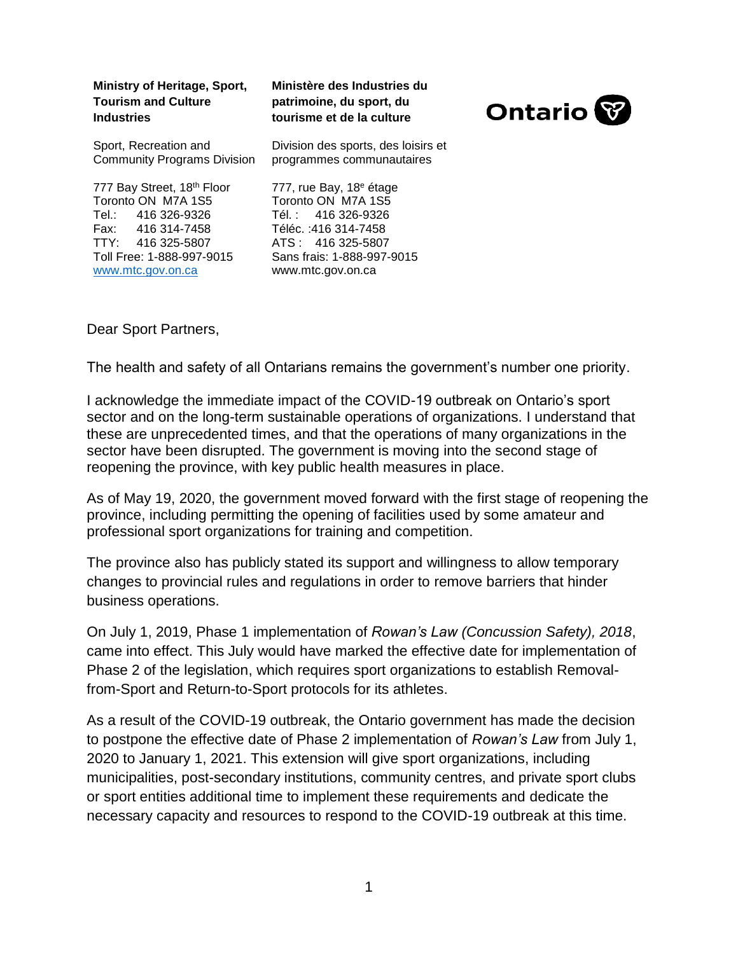| Ministry of Heritage, Sport,<br><b>Tourism and Culture</b><br><b>Industries</b>                                                                                    | Ministère des Industries du<br>patrimoine, du sport, du<br>tourisme et de la culture                                                                                            | <b>Ontario</b> |
|--------------------------------------------------------------------------------------------------------------------------------------------------------------------|---------------------------------------------------------------------------------------------------------------------------------------------------------------------------------|----------------|
| Sport, Recreation and<br><b>Community Programs Division</b>                                                                                                        | Division des sports, des loisirs et<br>programmes communautaires                                                                                                                |                |
| 777 Bay Street, 18th Floor<br>Toronto ON M7A 1S5<br>Tel.: 416 326-9326<br>Fax: 416 314-7458<br>TTY: 416 325-5807<br>Toll Free: 1-888-997-9015<br>www.mtc.gov.on.ca | 777, rue Bay, 18 <sup>e</sup> étage<br>Toronto ON M7A 1S5<br>Tél.: 416 326-9326<br>Téléc.: 416 314-7458<br>ATS: 416 325-5807<br>Sans frais: 1-888-997-9015<br>www.mtc.gov.on.ca |                |

Dear Sport Partners,

The health and safety of all Ontarians remains the government's number one priority.

I acknowledge the immediate impact of the COVID-19 outbreak on Ontario's sport sector and on the long-term sustainable operations of organizations. I understand that these are unprecedented times, and that the operations of many organizations in the sector have been disrupted. The government is moving into the second stage of reopening the province, with key public health measures in place.

As of May 19, 2020, the government moved forward with the first stage of reopening the province, including permitting the opening of facilities used by some amateur and professional sport organizations for training and competition.

The province also has publicly stated its support and willingness to allow temporary changes to provincial rules and regulations in order to remove barriers that hinder business operations.

On July 1, 2019, Phase 1 implementation of *Rowan's Law (Concussion Safety), 2018*, came into effect. This July would have marked the effective date for implementation of Phase 2 of the legislation, which requires sport organizations to establish Removalfrom-Sport and Return-to-Sport protocols for its athletes.

As a result of the COVID-19 outbreak, the Ontario government has made the decision to postpone the effective date of Phase 2 implementation of *Rowan's Law* from July 1, 2020 to January 1, 2021. This extension will give sport organizations, including municipalities, post-secondary institutions, community centres, and private sport clubs or sport entities additional time to implement these requirements and dedicate the necessary capacity and resources to respond to the COVID-19 outbreak at this time.